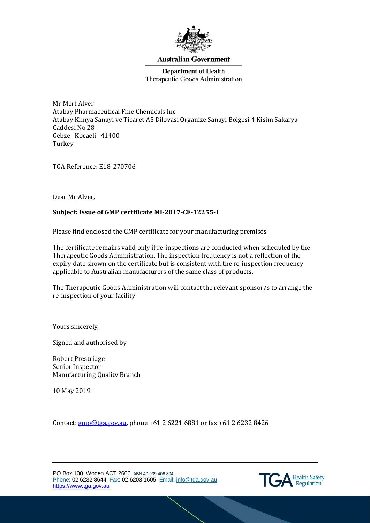

### **Australian Government**

**Department of Health** Therapeutic Goods Administration

Mr Mert Alver Atabay Pharmaceutical Fine Chemicals Inc Atabay Kimya Sanayi ve Ticaret AS Dilovasi Organize Sanayi Bolgesi 4 Kisim Sakarya Caddesi No 28 Gebze Kocaeli 41400 Turkey

TGA Reference: E18-270706

Dear Mr Alver,

### **Subject: Issue of GMP certificate MI-2017-CE-12255-1**

Please find enclosed the GMP certificate for your manufacturing premises.

The certificate remains valid only if re-inspections are conducted when scheduled by the Therapeutic Goods Administration. The inspection frequency is not a reflection of the expiry date shown on the certificate but is consistent with the re-inspection frequency applicable to Australian manufacturers of the same class of products.

The Therapeutic Goods Administration will contact the relevant sponsor/s to arrange the re-inspection of your facility.

Yours sincerely,

Signed and authorised by

Robert Prestridge Senior Inspector Manufacturing Quality Branch

10 May 2019

Contact: [gmp@tga.gov.au,](mailto:gmp@tga.gov.au) phone +61 2 6221 6881 or fax +61 2 6232 8426

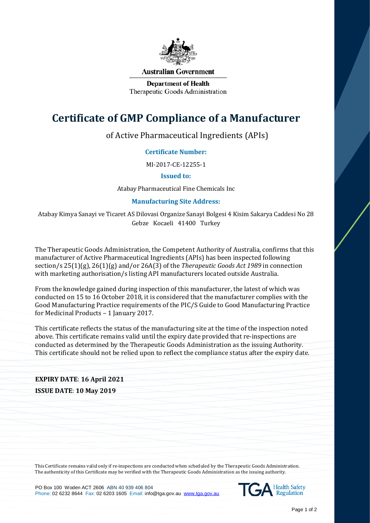

#### **Australian Government**

**Department of Health** Therapeutic Goods Administration

# **Certificate of GMP Compliance of a Manufacturer**

of Active Pharmaceutical Ingredients (APIs)

## **Certificate Number:**

MI-2017-CE-12255-1

### **Issued to:**

Atabay Pharmaceutical Fine Chemicals Inc

## **Manufacturing Site Address:**

Atabay Kimya Sanayi ve Ticaret AS Dilovasi Organize Sanayi Bolgesi 4 Kisim Sakarya Caddesi No 28 Gebze Kocaeli 41400 Turkey

The Therapeutic Goods Administration, the Competent Authority of Australia, confirms that this manufacturer of Active Pharmaceutical Ingredients (APIs) has been inspected following section/s 25(1)(g), 26(1)(g) and/or 26A(3) of the *Therapeutic Goods Act 1989* in connection with marketing authorisation/s listing API manufacturers located outside Australia.

From the knowledge gained during inspection of this manufacturer, the latest of which was conducted on 15 to 16 October 2018, it is considered that the manufacturer complies with the Good Manufacturing Practice requirements of the PIC/S Guide to Good Manufacturing Practice for Medicinal Products – 1 January 2017.

This certificate reflects the status of the manufacturing site at the time of the inspection noted above. This certificate remains valid until the expiry date provided that re-inspections are conducted as determined by the Therapeutic Goods Administration as the issuing Authority. This certificate should not be relied upon to reflect the compliance status after the expiry date.

# **EXPIRY DATE**: **16 April 2021 ISSUE DATE**: **10 May 2019**

This Certificate remains valid only if re-inspections are conducted when scheduled by the Therapeutic Goods Administration. The authenticity of this Certificate may be verified with the Therapeutic Goods Administration as the issuing authority.

PO Box 100 Woden ACT 2606 ABN 40 939 406 804 Phone: 02 6232 8644 Fax: 02 6203 1605 Email: info@tga.gov.au [www.tga.gov.au](http://www.tga.gov.au/)